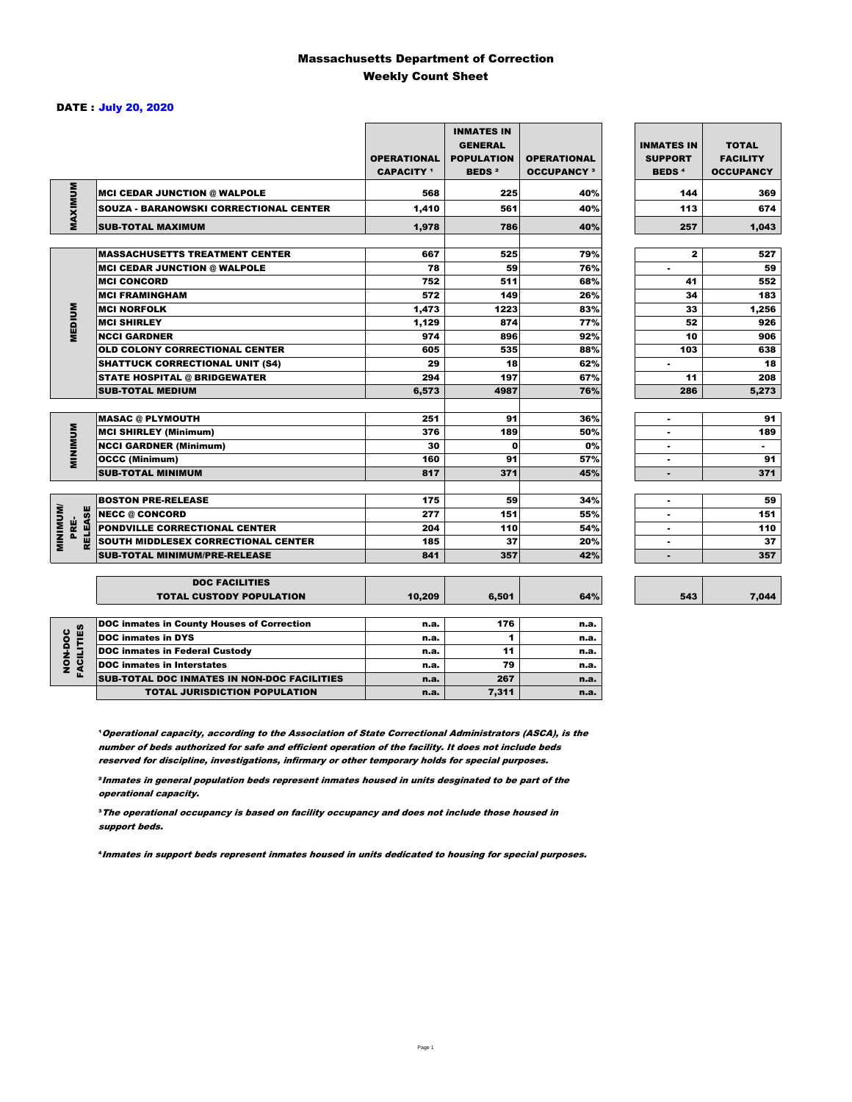### Massachusetts Department of Correction Weekly Count Sheet

### DATE : July 20, 2020

|                                   |                                                   | <b>OPERATIONAL</b><br><b>CAPACITY</b> 1 | <b>INMATES IN</b><br><b>GENERAL</b><br><b>POPULATION</b><br><b>BEDS<sup>2</sup></b> | <b>OPERATIONAL</b><br><b>OCCUPANCY 3</b> | <b>INMATES IN</b><br><b>SUPPORT</b><br><b>BEDS<sup>4</sup></b> | <b>TOTAL</b><br><b>FACILITY</b><br><b>OCCUPANCY</b> |
|-----------------------------------|---------------------------------------------------|-----------------------------------------|-------------------------------------------------------------------------------------|------------------------------------------|----------------------------------------------------------------|-----------------------------------------------------|
|                                   | <b>INCI CEDAR JUNCTION @ WALPOLE</b>              | 568                                     | 225                                                                                 | 40%                                      | 144                                                            | 369                                                 |
|                                   | <b>SOUZA - BARANOWSKI CORRECTIONAL CENTER</b>     | 1,410                                   | 561                                                                                 | 40%                                      | 113                                                            | 674                                                 |
| MAXIMUM                           | <b>SUB-TOTAL MAXIMUM</b>                          | 1.978                                   | 786                                                                                 | 40%                                      | 257                                                            | 1.043                                               |
|                                   |                                                   |                                         |                                                                                     |                                          |                                                                |                                                     |
|                                   | <b>MASSACHUSETTS TREATMENT CENTER</b>             | 667                                     | 525                                                                                 | 79%                                      | $\mathbf{z}$                                                   | 527                                                 |
|                                   | <b>MCI CEDAR JUNCTION @ WALPOLE</b>               | 78                                      | 59                                                                                  | 76%                                      | ٠                                                              | 59                                                  |
|                                   | <b>MCI CONCORD</b>                                | 752                                     | 511                                                                                 | 68%                                      | 41                                                             | 552                                                 |
|                                   | <b>MCI FRAMINGHAM</b>                             | 572                                     | 149                                                                                 | 26%                                      | 34                                                             | 183                                                 |
|                                   | <b>MCI NORFOLK</b>                                | 1.473                                   | 1223                                                                                | 83%                                      | 33                                                             | 1,256                                               |
| <b>MEDIUM</b>                     | <b>MCI SHIRLEY</b>                                | 1,129                                   | 874                                                                                 | 77%                                      | 52                                                             | 926                                                 |
|                                   | <b>NCCI GARDNER</b>                               | 974                                     | 896                                                                                 | 92%                                      | 10                                                             | 906                                                 |
|                                   | <b>OLD COLONY CORRECTIONAL CENTER</b>             | 605                                     | 535                                                                                 | 88%                                      | 103                                                            | 638                                                 |
|                                   | <b>SHATTUCK CORRECTIONAL UNIT (S4)</b>            | 29                                      | 18                                                                                  | 62%                                      | $\overline{\phantom{a}}$                                       | 18                                                  |
|                                   | <b>STATE HOSPITAL @ BRIDGEWATER</b>               | 294                                     | 197                                                                                 | 67%                                      | 11                                                             | 208                                                 |
|                                   | <b>SUB-TOTAL MEDIUM</b>                           | 6,573                                   | 4987                                                                                | 76%                                      | 286                                                            | 5,273                                               |
|                                   | <b>MASAC @ PLYMOUTH</b>                           | 251                                     | 91                                                                                  | 36%                                      | ٠                                                              | 91                                                  |
| <b>MINIMUM</b>                    | <b>MCI SHIRLEY (Minimum)</b>                      | 376                                     | 189                                                                                 | 50%                                      |                                                                | 189                                                 |
|                                   | <b>NCCI GARDNER (Minimum)</b>                     | 30                                      | $\Omega$                                                                            | 0%                                       | ٠                                                              | $\sim$                                              |
|                                   | <b>OCCC (Minimum)</b>                             | 160                                     | 91                                                                                  | 57%                                      | ٠                                                              | 91                                                  |
|                                   | <b>SUB-TOTAL MINIMUM</b>                          | 817                                     | 371                                                                                 | 45%                                      | ۰                                                              | 371                                                 |
|                                   |                                                   |                                         |                                                                                     |                                          |                                                                |                                                     |
|                                   | <b>BOSTON PRE-RELEASE</b>                         | 175                                     | 59                                                                                  | 34%                                      | $\overline{a}$                                                 | 59                                                  |
| <b>MINIMINI</b><br><b>RELEASE</b> | <b>NECC @ CONCORD</b>                             | 277                                     | 151                                                                                 | 55%                                      |                                                                | 151                                                 |
| PRE-                              | <b>PONDVILLE CORRECTIONAL CENTER</b>              | 204                                     | 110                                                                                 | 54%                                      | ٠                                                              | 110                                                 |
|                                   | SOUTH MIDDLESEX CORRECTIONAL CENTER               | 185                                     | 37                                                                                  | 20%                                      | $\overline{a}$                                                 | 37                                                  |
|                                   | <b>SUB-TOTAL MINIMUM/PRE-RELEASE</b>              | 841                                     | 357                                                                                 | 42%                                      | ٠                                                              | 357                                                 |
|                                   | <b>DOC FACILITIES</b>                             |                                         |                                                                                     |                                          |                                                                |                                                     |
|                                   | <b>TOTAL CUSTODY POPULATION</b>                   | 10,209                                  | 6,501                                                                               | 64%                                      | 543                                                            | 7,044                                               |
|                                   | <b>DOC inmates in County Houses of Correction</b> | n.a.                                    | 176                                                                                 | n.a.                                     |                                                                |                                                     |
| <b>FACILITIES</b>                 | <b>DOC</b> inmates in DYS                         | n.a.                                    | 1                                                                                   | n.a.                                     |                                                                |                                                     |
| NON-DOC                           | <b>DOC inmates in Federal Custody</b>             | n.a.                                    | 11                                                                                  | n.a.                                     |                                                                |                                                     |
|                                   | <b>DOC</b> inmates in Interstates                 | n.a.                                    | 79                                                                                  | n.a.                                     |                                                                |                                                     |
|                                   | CUR TOTAL BOO INIMETED IN NON-BOO FACU ITIED      |                                         | $\sim$                                                                              |                                          |                                                                |                                                     |

7,044

**Operational capacity, according to the Association of State Correctional Administrators (ASCA), is the** number of beds authorized for safe and efficient operation of the facility. It does not include beds reserved for discipline, investigations, infirmary or other temporary holds for special purposes.

SUB-TOTAL DOC INMATES IN NON-DOC FACILITIES n.a. 267 n.a. TOTAL JURISDICTION POPULATION **n.a.** 7,311 n.a.

²Inmates in general population beds represent inmates housed in units desginated to be part of the operational capacity.

³The operational occupancy is based on facility occupancy and does not include those housed in support beds.

⁴Inmates in support beds represent inmates housed in units dedicated to housing for special purposes.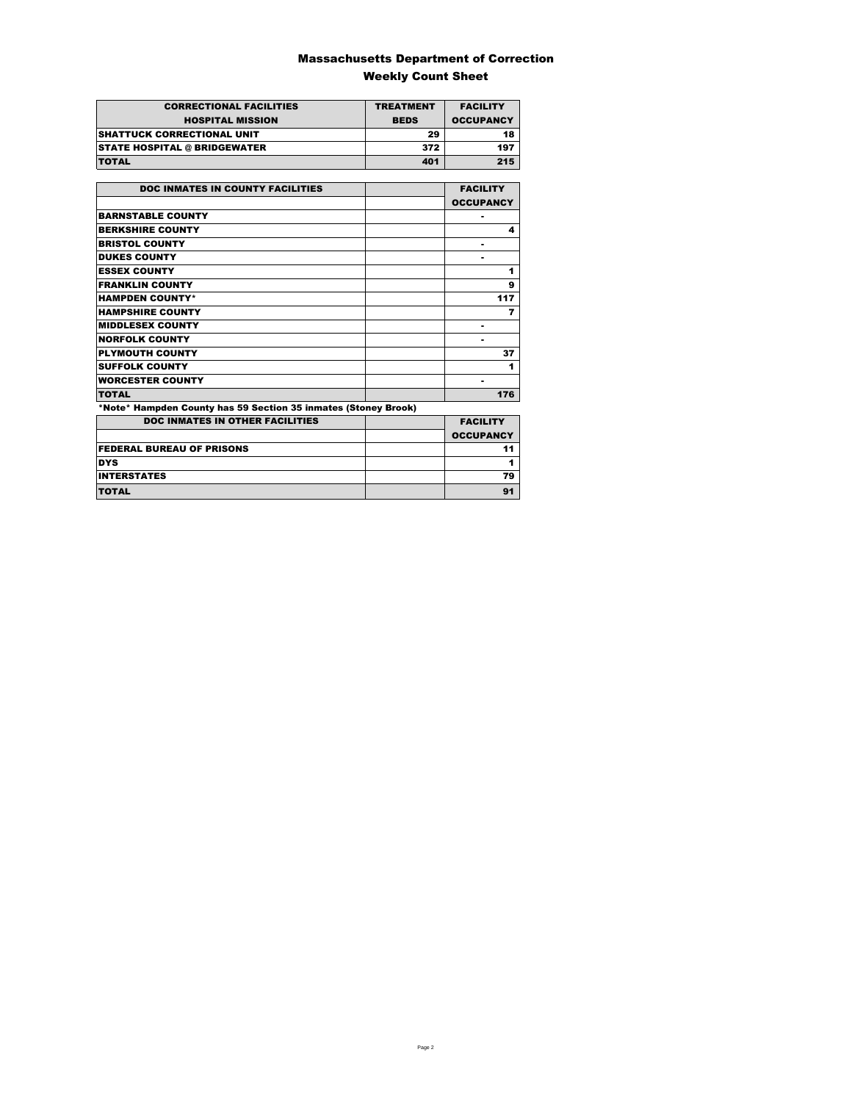### Massachusetts Department of Correction Weekly Count Sheet

| <b>CORRECTIONAL FACILITIES</b>      | <b>TREATMENT</b> | <b>FACILITY</b>  |
|-------------------------------------|------------------|------------------|
| <b>HOSPITAL MISSION</b>             | <b>BEDS</b>      | <b>OCCUPANCY</b> |
| <b>SHATTUCK CORRECTIONAL UNIT</b>   | 29               | 18               |
| <b>STATE HOSPITAL @ BRIDGEWATER</b> | 372              | 197              |
| <b>TOTAL</b>                        | 401              | 215              |

| <b>DOC INMATES IN COUNTY FACILITIES</b>                        | <b>FACILITY</b>  |
|----------------------------------------------------------------|------------------|
|                                                                | <b>OCCUPANCY</b> |
| <b>BARNSTABLE COUNTY</b>                                       |                  |
| <b>BERKSHIRE COUNTY</b>                                        | 4                |
| <b>BRISTOL COUNTY</b>                                          |                  |
| <b>DUKES COUNTY</b>                                            |                  |
| <b>ESSEX COUNTY</b>                                            | 1                |
| <b>FRANKLIN COUNTY</b>                                         | 9                |
| <b>HAMPDEN COUNTY*</b>                                         | 117              |
| <b>HAMPSHIRE COUNTY</b>                                        | 7                |
| <b>MIDDLESEX COUNTY</b>                                        | -                |
| <b>NORFOLK COUNTY</b>                                          |                  |
| <b>PLYMOUTH COUNTY</b>                                         | 37               |
| <b>SUFFOLK COUNTY</b>                                          | 1                |
| <b>WORCESTER COUNTY</b>                                        | ۰                |
| <b>TOTAL</b>                                                   | 176              |
| *Note* Hampden County has 59 Section 35 inmates (Stoney Brook) |                  |
| <b>DOC INMATES IN OTHER FACILITIES</b>                         | <b>FACILITY</b>  |
|                                                                | <b>OCCUPANCY</b> |
| <b>FEDERAL BUREAU OF PRISONS</b>                               | 11               |
| <b>DYS</b>                                                     | 1                |
| <b>INTERSTATES</b>                                             | 79               |
| <b>TOTAL</b>                                                   | 91               |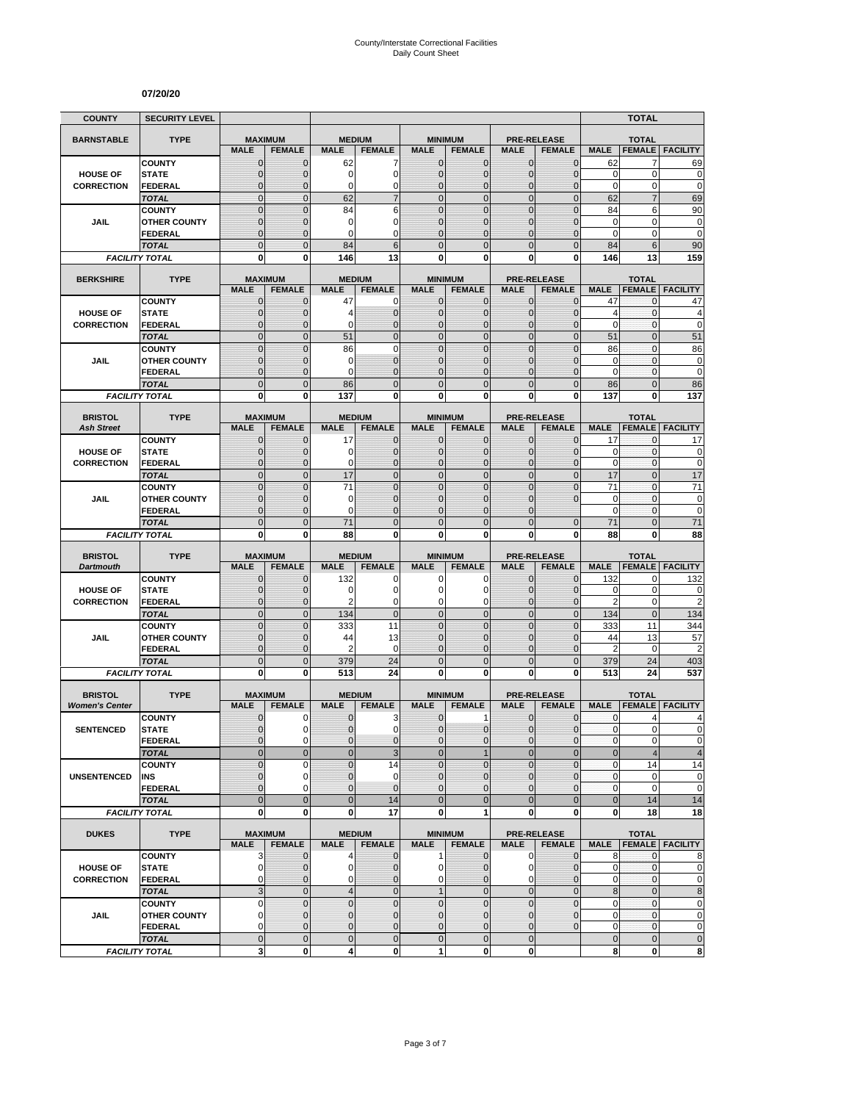#### **07/20/20**

| <b>COUNTY</b>                           | <b>SECURITY LEVEL</b>                 |                               |                              |                             |                                  |                              |                                 |                                   |                                 |                        | <b>TOTAL</b>                  |                             |
|-----------------------------------------|---------------------------------------|-------------------------------|------------------------------|-----------------------------|----------------------------------|------------------------------|---------------------------------|-----------------------------------|---------------------------------|------------------------|-------------------------------|-----------------------------|
| <b>BARNSTABLE</b>                       | <b>TYPE</b>                           | <b>MAXIMUM</b>                |                              | <b>MEDIUM</b>               |                                  |                              | <b>MINIMUM</b>                  | <b>PRE-RELEASE</b>                |                                 |                        | <b>TOTAL</b>                  |                             |
|                                         |                                       | <b>MALE</b>                   | <b>FEMALE</b>                | <b>MALE</b>                 | <b>FEMALE</b>                    | <b>MALE</b>                  | <b>FEMALE</b>                   | <b>MALE</b>                       | <b>FEMALE</b>                   | <b>MALE</b>            | <b>FEMALE</b>                 | <b>FACILITY</b>             |
|                                         | <b>COUNTY</b>                         | $\mathbf 0$<br>$\overline{0}$ | $\mathbf{0}$                 | 62<br>0                     | 7<br>$\mathbf 0$                 | $\mathbf 0$<br>$\mathbf 0$   | 0<br>$\overline{0}$             | $\mathbf{0}$                      | $\mathbf{0}$<br>$\overline{0}$  | 62<br>$\mathbf 0$      | 7<br>0                        | 69                          |
| <b>HOUSE OF</b><br><b>CORRECTION</b>    | <b>STATE</b><br>FEDERAL               | $\mathbf 0$                   | $\mathbf 0$<br>$\mathbf{0}$  | 0                           | 0                                | $\mathbf 0$                  | $\mathbf 0$                     | $\mathbf{0}$<br>$\mathbf 0$       | $\overline{0}$                  | $\mathbf 0$            | 0                             | $\mathbf 0$<br>$\mathbf 0$  |
|                                         | <b>TOTAL</b>                          | $\mathbf 0$                   | $\mathbf{0}$                 | 62                          | $\overline{7}$                   | $\overline{0}$               | $\mathbf 0$                     | $\mathbf{0}$                      | $\mathbf 0$                     | 62                     | $\overline{7}$                | 69                          |
|                                         | <b>COUNTY</b>                         | $\mathbf 0$                   | $\mathbf{0}$                 | 84                          | 6                                | $\mathbf 0$                  | $\mathbf 0$                     | $\mathbf 0$                       | $\mathbf 0$                     | 84                     | 6                             | 90                          |
| JAIL                                    | <b>OTHER COUNTY</b>                   | $\mathbf 0$                   | $\mathbf{0}$                 | 0                           | 0                                | $\mathbf{0}$                 | $\overline{0}$                  | $\mathbf 0$                       | $\overline{0}$                  | $\mathbf 0$            | $\mathbf 0$                   | $\bf{0}$                    |
|                                         | <b>FEDERAL</b>                        | $\overline{0}$                | $\mathbf{0}$                 | 0                           | $\Omega$                         | $\mathbf{0}$                 | $\overline{0}$                  | $\Omega$                          | $\overline{0}$                  | $\Omega$               | 0                             | $\mathbf 0$                 |
|                                         | <b>TOTAL</b><br><b>FACILITY TOTAL</b> | $\overline{0}$<br>0           | $\Omega$<br>0                | 84<br>146                   | 6<br>13                          | $\Omega$<br>$\mathbf{0}$     | $\overline{0}$<br>0             | $\Omega$<br>0                     | $\overline{0}$<br>0             | 84<br>146              | 6<br>13                       | 90<br>159                   |
|                                         |                                       |                               |                              |                             |                                  |                              |                                 |                                   |                                 |                        |                               |                             |
| <b>BERKSHIRE</b>                        | <b>TYPE</b>                           | <b>MAXIMUM</b>                |                              |                             | <b>MEDIUM</b>                    |                              | <b>MINIMUM</b>                  | <b>PRE-RELEASE</b>                |                                 |                        | <b>TOTAL</b>                  |                             |
|                                         |                                       | <b>MALE</b>                   | <b>FEMALE</b>                | <b>MALE</b>                 | <b>FEMALE</b>                    | <b>MALE</b>                  | <b>FEMALE</b>                   | <b>MALE</b>                       | <b>FEMALE</b>                   | <b>MALE</b>            | <b>FEMALE</b>                 | <b>FACILITY</b>             |
| <b>HOUSE OF</b>                         | <b>COUNTY</b><br><b>STATE</b>         | $\mathbf{0}$<br>0             | $\mathbf 0$<br>$\mathbf{0}$  | 47<br>4                     | 0<br>$\mathbf 0$                 | $\mathbf{0}$<br>$\mathbf{0}$ | $\mathbf 0$<br>$\mathbf 0$      | $\mathbf{0}$<br>$\mathbf{0}$      | $\mathbf 0$<br>$\mathbf{0}$     | 47<br>$\overline{4}$   | 0<br>0                        | 47<br>4                     |
| <b>CORRECTION</b>                       | <b>FEDERAL</b>                        | $\mathbf 0$                   | $\mathbf 0$                  | 0                           | $\overline{0}$                   | $\mathbf{0}$                 | $\overline{0}$                  | $\mathbf{0}$                      | $\mathbf 0$                     | $\mathbf 0$            | 0                             | $\mathbf 0$                 |
|                                         | <b>TOTAL</b>                          | $\overline{0}$                | $\mathbf{0}$                 | 51                          | $\overline{0}$                   | $\overline{0}$               | $\overline{0}$                  | $\mathbf{0}$                      | $\overline{0}$                  | 51                     | $\overline{0}$                | 51                          |
|                                         | <b>COUNTY</b>                         | $\overline{0}$                | $\mathbf 0$                  | 86                          | $\overline{0}$                   | $\mathbf 0$                  | $\overline{0}$                  | $\overline{0}$                    | $\overline{0}$                  | 86                     | $\mathbf{0}$                  | 86                          |
| <b>JAIL</b>                             | <b>OTHER COUNTY</b>                   | 0                             | $\mathbf{0}$                 | 0                           | $\overline{0}$                   | $\mathbf{0}$                 | $\overline{0}$                  | $\Omega$                          | $\mathbf{0}$                    | 0                      | $\mathbf{0}$                  | $\pmb{0}$                   |
|                                         | <b>FEDERAL</b>                        | $\mathbf 0$<br>$\mathbf 0$    | $\mathbf{0}$<br>$\mathbf{0}$ | 0                           | $\overline{0}$<br>$\overline{0}$ | $\mathbf{0}$<br>$\mathbf{0}$ | $\overline{0}$<br>$\mathbf 0$   | $\mathbf 0$<br>$\mathbf{0}$       | $\overline{0}$<br>$\mathbf 0$   | $\mathbf 0$            | $\mathbf{0}$<br>$\mathbf 0$   | $\mathbf 0$<br>86           |
|                                         | <b>TOTAL</b><br><b>FACILITY TOTAL</b> | 0                             | $\mathbf{0}$                 | 86<br>137                   | 0                                | 0                            | $\bf{0}$                        | 0                                 | 0                               | 86<br>137              | 0                             | 137                         |
|                                         |                                       |                               |                              |                             |                                  |                              |                                 |                                   |                                 |                        |                               |                             |
| <b>BRISTOL</b>                          | <b>TYPE</b>                           | <b>MAXIMUM</b>                |                              |                             | <b>MEDIUM</b>                    |                              | <b>MINIMUM</b>                  | <b>PRE-RELEASE</b>                |                                 |                        | <b>TOTAL</b>                  |                             |
| <b>Ash Street</b>                       | <b>COUNTY</b>                         | <b>MALE</b>                   | <b>FEMALE</b>                | <b>MALE</b>                 | <b>FEMALE</b>                    | <b>MALE</b>                  | <b>FEMALE</b>                   | <b>MALE</b>                       | <b>FEMALE</b>                   | <b>MALE</b>            | <b>FEMALE</b>                 | <b>FACILITY</b>             |
| <b>HOUSE OF</b>                         | <b>STATE</b>                          | 0<br>$\mathbf{0}$             | $\mathbf{0}$<br>$\mathbf{0}$ | 17<br>0                     | $\mathbf 0$<br>$\mathbf 0$       | $\mathbf 0$<br>$\mathbf{0}$  | 0<br>$\mathbf{0}$               | $\mathbf{0}$<br>$\mathbf{0}$      | $\mathbf{0}$<br>$\mathbf{0}$    | 17<br>0                | 0<br>0                        | 17<br>0                     |
| <b>CORRECTION</b>                       | <b>FEDERAL</b>                        | $\mathbf{0}$                  | $\mathbf{0}$                 | 0                           | $\mathbf{0}$                     | $\mathbf{0}$                 | $\overline{0}$                  | $\mathbf{0}$                      | $\overline{0}$                  | $\mathbf 0$            | 0                             | $\mathbf 0$                 |
|                                         | <b>TOTAL</b>                          | $\overline{0}$                | $\mathbf{0}$                 | 17                          | $\overline{0}$                   | $\mathbf 0$                  | $\overline{0}$                  | $\mathbf{0}$                      | $\overline{0}$                  | 17                     | $\overline{0}$                | 17                          |
|                                         | <b>COUNTY</b>                         | $\overline{0}$                | $\Omega$                     | 71                          | $\overline{0}$                   | $\mathbf 0$                  | $\overline{0}$                  | $\overline{0}$                    | $\overline{0}$                  | 71                     | $\overline{0}$                | 71                          |
| JAIL                                    | <b>OTHER COUNTY</b>                   | $\mathbf 0$                   | $\mathbf 0$                  | 0                           | $\overline{0}$                   | $\mathbf{0}$                 | $\overline{0}$                  | $\mathbf 0$                       | $\overline{0}$                  | $\mathbf 0$            | $\mathbf{0}$                  | $\mathbf 0$                 |
|                                         | <b>FEDERAL</b>                        | $\overline{0}$                | $\mathbf{0}$                 | 0                           | $\overline{0}$                   | $\Omega$                     | $\overline{0}$                  | $\Omega$                          |                                 | $\mathbf 0$            | 0                             | $\mathbf 0$                 |
|                                         | <b>TOTAL</b><br><b>FACILITY TOTAL</b> | $\overline{0}$<br>0           | $\mathbf{0}$<br>0            | 71<br>88                    | $\overline{0}$<br>0              | $\overline{0}$<br>0          | $\overline{0}$<br>0             | $\overline{0}$<br>0               | $\mathbf{0}$<br>0               | 71<br>88               | $\overline{0}$<br>0           | 71<br>88                    |
|                                         |                                       |                               |                              |                             |                                  |                              |                                 |                                   |                                 |                        |                               |                             |
| <b>BRISTOL</b>                          | <b>TYPE</b>                           | <b>MAXIMUM</b>                |                              |                             | <b>MEDIUM</b>                    |                              | <b>MINIMUM</b>                  | <b>PRE-RELEASE</b>                |                                 |                        | <b>TOTAL</b>                  |                             |
| <b>Dartmouth</b>                        | <b>COUNTY</b>                         | <b>MALE</b><br>$\mathbf 0$    | <b>FEMALE</b><br>$\mathbf 0$ | <b>MALE</b><br>132          | <b>FEMALE</b><br>0               | <b>MALE</b><br>0             | <b>FEMALE</b><br>0              | <b>MALE</b><br>$\mathbf 0$        | <b>FEMALE</b><br>$\overline{0}$ | <b>MALE</b><br>132     | <b>FEMALE</b><br>0            | <b>FACILITY</b><br>132      |
| <b>HOUSE OF</b>                         | <b>STATE</b>                          | $\mathbf 0$                   | $\mathbf{0}$                 | 0                           | $\mathbf 0$                      | $\Omega$                     | 0                               | $\Omega$                          | $\mathbf{0}$                    | 0                      | $\mathbf 0$                   | 0                           |
| <b>CORRECTION</b>                       | <b>FEDERAL</b>                        | $\mathbf 0$                   | $\mathbf{0}$                 | $\overline{2}$              | 0                                | 0                            | 0                               | $\mathbf 0$                       | $\mathbf{0}$                    | $\overline{2}$         | 0                             | $\overline{c}$              |
|                                         | <b>TOTAL</b>                          | $\mathbf 0$                   | $\mathbf{0}$                 | 134                         | $\mathbf 0$                      | $\overline{0}$               | $\mathbf 0$                     | $\mathbf{0}$                      | $\overline{0}$                  | 134                    | $\mathbf{0}$                  | 134                         |
|                                         | <b>COUNTY</b>                         | $\mathbf 0$                   | $\mathbf{0}$                 | 333                         | 11                               | $\mathbf{0}$                 | $\mathbf 0$                     | $\mathbf{0}$                      | $\mathbf 0$                     | 333                    | 11                            | 344                         |
| JAIL                                    | <b>OTHER COUNTY</b><br><b>FEDERAL</b> | $\overline{0}$<br>$\mathbf 0$ | $\mathbf{0}$<br>$\mathbf{0}$ | 44<br>2                     | 13<br>$\mathbf 0$                | $\mathbf{0}$<br>$\mathbf{0}$ | $\overline{0}$<br>0             | $\mathbf 0$<br>$\mathbf{0}$       | $\overline{0}$<br>$\mathbf 0$   | 44<br>$\overline{2}$   | 13<br>0                       | 57<br>$\overline{c}$        |
|                                         | <b>TOTAL</b>                          | $\mathbf 0$                   | $\overline{0}$               | 379                         | 24                               | $\mathbf 0$                  | $\mathbf 0$                     | $\overline{0}$                    | $\mathbf 0$                     | 379                    | 24                            | 403                         |
|                                         | <b>FACILITY TOTAL</b>                 | $\mathbf 0$                   | $\mathbf{0}$                 | 513                         | 24                               | $\mathbf{0}$                 | $\bf{0}$                        | 0                                 | 0                               | 513                    | 24                            | 537                         |
|                                         |                                       |                               |                              |                             |                                  |                              |                                 |                                   |                                 |                        |                               |                             |
| <b>BRISTOL</b><br><b>Women's Center</b> | <b>TYPE</b>                           | <b>MAXIMUM</b><br><b>MALE</b> | <b>FEMALE</b>                | <b>MALE</b>                 | <b>MEDIUM</b><br><b>FEMALE</b>   | <b>MALE</b>                  | <b>MINIMUM</b><br><b>FEMALE</b> | <b>PRE-RELEASE</b><br><b>MALE</b> | <b>FEMALE</b>                   | <b>MALE</b>            | <b>TOTAL</b><br><b>FEMALE</b> | <b>FACILITY</b>             |
|                                         | <b>COUNTY</b>                         | 0                             | 0                            | 0                           | 3                                | $\mathbf 0$                  | 1                               | 0                                 | $\mathbf 0$                     | 0                      | 4                             | 4                           |
| <b>SENTENCED</b>                        | <b>STATE</b>                          | $\overline{0}$                | $\Omega$                     | $\overline{0}$              | 0                                | $\overline{0}$               | $\mathbf 0$                     | $\mathbf{0}$                      | $\mathbf 0$                     | $\mathbf{0}$           | $\overline{0}$                | $\Omega$                    |
|                                         | <b>FEDERAL</b>                        | 0                             | $\mathbf 0$                  | 0                           | $\mathbf{0}$                     | $\mathbf{0}$                 | $\mathbf{0}$                    | $\mathbf 0$                       | $\mathbf 0$                     | $\pmb{0}$              | 0                             | $\pmb{0}$                   |
|                                         | <b>TOTAL</b>                          | $\mathbf 0$                   | $\mathbf{0}$                 | $\overline{0}$              | 3                                | $\mathbf{0}$                 | $\mathbf{1}$                    | $\mathbf{0}$                      | $\overline{0}$                  | $\bf 0$                | 4                             | $\overline{\mathbf{4}}$     |
|                                         | <b>COUNTY</b>                         | $\mathbf 0$<br>0              | $\mathbf 0$<br>$\mathbf 0$   | $\overline{0}$<br>$\pmb{0}$ | 14<br>0                          | $\Omega$<br>$\mathbf 0$      | $\overline{0}$<br>0             | $\mathbf 0$<br>$\mathbf{0}$       | $\overline{0}$<br>$\mathbf{0}$  | $\pmb{0}$<br>$\pmb{0}$ | 14<br>0                       | 14<br>$\pmb{0}$             |
| <b>UNSENTENCED</b>                      | INS<br><b>FEDERAL</b>                 | $\overline{0}$                | $\Omega$                     | $\overline{0}$              | $\overline{0}$                   | $\mathbf{0}$                 | $\overline{0}$                  | $\Omega$                          | $\overline{0}$                  | $\pmb{0}$              | 0                             | $\mathbf 0$                 |
|                                         | <b>TOTAL</b>                          | $\overline{0}$                | $\overline{0}$               | $\mathbf 0$                 | 14                               | $\overline{0}$               | $\overline{0}$                  | $\overline{0}$                    | $\overline{0}$                  | $\bf 0$                | 14                            | 14                          |
|                                         | <b>FACILITY TOTAL</b>                 | $\mathbf 0$                   | $\mathbf{0}$                 | 0                           | 17                               | $\mathbf{0}$                 | 1                               | $\mathbf 0$                       | 0                               | 0                      | 18                            | 18                          |
| <b>DUKES</b>                            | <b>TYPE</b>                           | <b>MAXIMUM</b>                |                              |                             | <b>MEDIUM</b>                    |                              | <b>MINIMUM</b>                  |                                   | <b>PRE-RELEASE</b>              |                        | <b>TOTAL</b>                  |                             |
|                                         |                                       | <b>MALE</b>                   | <b>FEMALE</b>                | <b>MALE</b>                 | <b>FEMALE</b>                    | <b>MALE</b>                  | <b>FEMALE</b>                   | <b>MALE</b>                       | <b>FEMALE</b>                   |                        |                               | <b>MALE FEMALE FACILITY</b> |
|                                         | <b>COUNTY</b>                         | 3                             | $\mathbf{0}$                 | 4                           | $\mathbf 0$                      | $\mathbf{1}$                 | $\mathbf{0}$                    | $\mathbf 0$                       | $\overline{0}$                  | 8                      | $\mathbf{0}$                  | 8                           |
| <b>HOUSE OF</b>                         | <b>STATE</b>                          | $\mathbf 0$                   | $\mathbf{0}$                 | 0                           | $\overline{0}$                   | $\overline{0}$               | 0                               | 0                                 | $\mathbf 0$                     | 0                      | 0                             | $\mathbf 0$                 |
| <b>CORRECTION</b>                       | <b>FEDERAL</b>                        | 0                             | $\mathbf{0}$                 | 0                           | $\mathbf 0$                      | $\overline{0}$               | $\overline{0}$                  | $\mathbf 0$                       | $\overline{0}$                  | 0                      | 0                             | $\pmb{0}$                   |
|                                         | <b>TOTAL</b>                          | 3<br>0                        | $\mathbf 0$<br>$\mathbf 0$   | $\overline{4}$<br>$\pmb{0}$ | $\mathbf 0$<br>$\mathbf 0$       | 1<br>$\mathbf 0$             | $\mathbf 0$<br>$\mathbf 0$      | $\mathbf 0$<br>$\mathbf 0$        | $\overline{0}$<br>$\mathbf 0$   | 8<br>0                 | $\mathbf 0$<br>$\pmb{0}$      | 8<br>$\pmb{0}$              |
| JAIL                                    | <b>COUNTY</b><br><b>OTHER COUNTY</b>  | $\overline{0}$                | $\mathbf{0}$                 | $\mathbf 0$                 | $\overline{0}$                   | $\mathbf{0}$                 | $\mathbf 0$                     | $\mathbf{0}$                      | $\mathbf 0$                     | $\mathbf 0$            | $\mathbf{0}$                  | $\pmb{0}$                   |
|                                         | <b>FEDERAL</b>                        | 0                             | $\mathbf 0$                  | 0                           | 0                                | $\mathbf 0$                  | 0                               | $\mathbf 0$                       | $\mathbf 0$                     | 0                      | $\pmb{0}$                     | $\pmb{0}$                   |
|                                         | <b>TOTAL</b>                          | $\mathbf 0$                   | $\mathbf{0}$                 | $\pmb{0}$                   | $\mathbf 0$                      | $\mathbf 0$                  | $\mathbf 0$                     | $\mathbf{0}$                      |                                 | $\pmb{0}$              | $\mathbf 0$                   | $\pmb{0}$                   |
|                                         | <b>FACILITY TOTAL</b>                 | 3                             | $\mathbf 0$                  | 4                           | $\mathbf{0}$                     | 1                            | $\mathbf{0}$                    | $\mathbf{0}$                      |                                 | 8                      | 0                             | 8                           |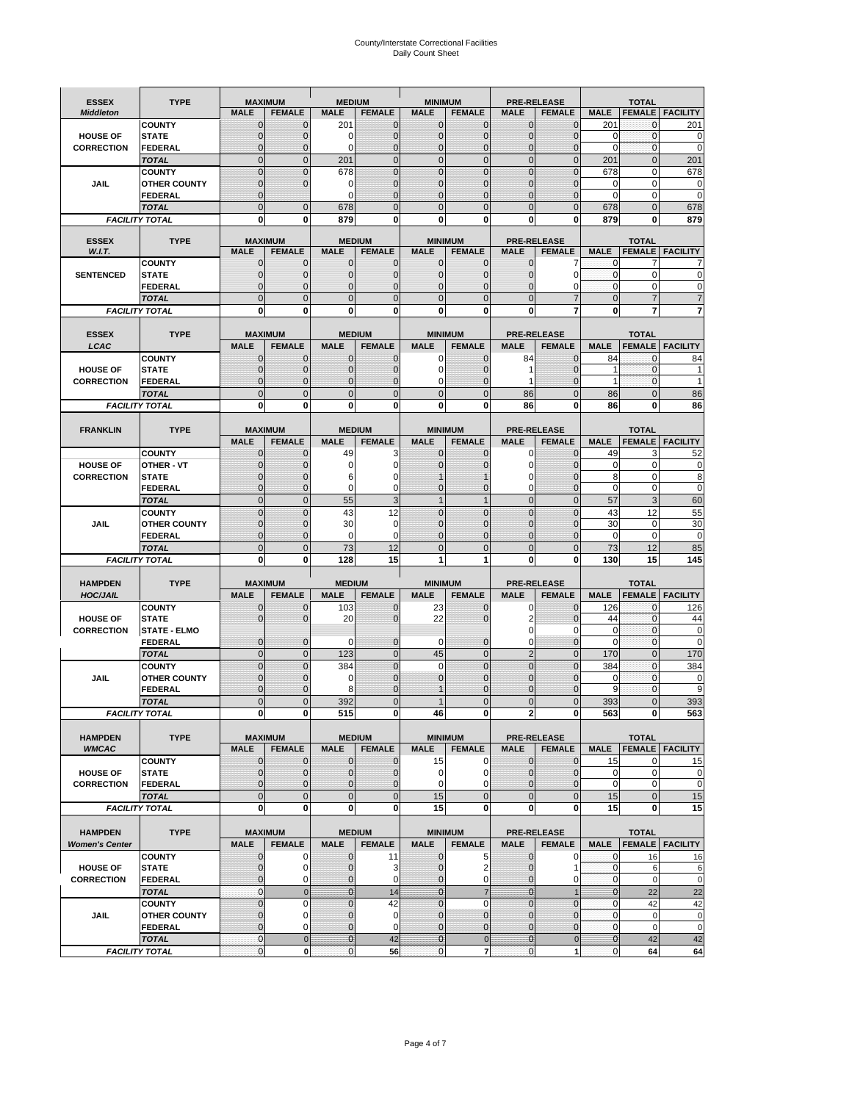# County/Interstate Correctional Facilities Daily Count Sheet

| <b>ESSEX</b>          | <b>TYPE</b>                           |                            | <b>MAXIMUM</b>                   | <b>MEDIUM</b>               |                                | <b>MINIMUM</b>               |                                 |                               | <b>PRE-RELEASE</b>                  |                  | <b>TOTAL</b>                  |                          |
|-----------------------|---------------------------------------|----------------------------|----------------------------------|-----------------------------|--------------------------------|------------------------------|---------------------------------|-------------------------------|-------------------------------------|------------------|-------------------------------|--------------------------|
| <b>Middleton</b>      |                                       | <b>MALE</b>                | <b>FEMALE</b>                    | <b>MALE</b>                 | <b>FEMALE</b>                  | <b>MALE</b>                  | <b>FEMALE</b>                   | MALE                          | <b>FEMALE</b>                       | <b>MALE</b>      | <b>FEMALE</b>                 | <b>FACILITY</b>          |
|                       | <b>COUNTY</b>                         | 0                          | 0                                | 201                         | 0                              | $\mathbf 0$                  | $\mathbf{0}$                    | $\mathbf{0}$                  | $\Omega$                            | 201              | 0                             | 201                      |
| <b>HOUSE OF</b>       | <b>STATE</b>                          | 0                          | $\mathbf 0$                      | $\Omega$                    | 0                              | $\mathbf{0}$                 | $\Omega$                        | $\mathbf 0$                   | $\Omega$                            | $\Omega$         | $\Omega$                      | 0                        |
| <b>CORRECTION</b>     | <b>FEDERAL</b>                        | 0                          | $\mathbf 0$                      | 0                           | 0                              | $\mathbf{0}$                 | $\mathbf 0$                     | $\mathbf{0}$                  | $\mathbf 0$                         | $\mathbf 0$      | $\mathbf{0}$                  | $\mathbf 0$              |
|                       | <b>TOTAL</b>                          | $\overline{0}$             | $\overline{0}$                   | 201                         | $\mathbf 0$                    | $\mathbf 0$                  | $\overline{0}$                  | $\mathbf 0$                   | $\overline{0}$                      | 201              | $\mathbf{0}$                  | 201                      |
|                       | <b>COUNTY</b>                         | $\mathbf 0$<br>$\mathbf 0$ | $\overline{0}$<br>$\overline{0}$ | 678                         | $\overline{0}$<br>0            | $\mathbf{0}$<br>$\mathbf{0}$ | $\Omega$                        | $\mathbf 0$<br>$\mathbf 0$    | $\Omega$<br>ſ                       | 678              | $\mathbf 0$                   | 678                      |
| JAIL                  | <b>OTHER COUNTY</b><br><b>FEDERAL</b> | $\mathbf{0}$               |                                  | 0<br>$\Omega$               | $\Omega$                       | $\mathbf{0}$                 | $\mathbf{0}$<br>$\Omega$        | $\mathbf{0}$                  | 0                                   | 0<br>$\Omega$    | $\mathbf 0$<br>$\mathbf 0$    | 0<br>$\mathbf 0$         |
|                       | <b>TOTAL</b>                          | $\overline{0}$             | $\mathbf 0$                      | 678                         | $\Omega$                       | $\Omega$                     | $\Omega$                        | $\overline{0}$                | $\Omega$                            | 678              | $\Omega$                      | 678                      |
|                       | <b>FACILITY TOTAL</b>                 | 0                          | 0                                | 879                         | O                              | $\bf{0}$                     | 0                               | 0                             | 0                                   | 879              | 0                             | 879                      |
|                       |                                       |                            |                                  |                             |                                |                              |                                 |                               |                                     |                  |                               |                          |
| <b>ESSEX</b>          | <b>TYPE</b>                           |                            | <b>MAXIMUM</b>                   |                             | <b>MEDIUM</b>                  |                              | <b>MINIMUM</b>                  |                               | <b>PRE-RELEASE</b>                  |                  | <b>TOTAL</b>                  |                          |
| W.I.T.                |                                       | <b>MALE</b>                | <b>FEMALE</b>                    | <b>MALE</b>                 | <b>FEMALE</b>                  | <b>MALE</b>                  | <b>FEMALE</b>                   | <b>MALE</b>                   | <b>FEMALE</b>                       | <b>MALE</b>      |                               | <b>FEMALE   FACILITY</b> |
| <b>SENTENCED</b>      | <b>COUNTY</b>                         | $\mathbf{0}$<br>0          | 0<br>$\mathbf 0$                 | $\mathbf 0$<br>$\mathbf{0}$ | $\mathbf 0$<br>$\overline{0}$  | $\mathbf 0$<br>$\mathbf{0}$  | $\mathbf{0}$                    | $\mathbf 0$                   | 7<br>$\Omega$                       | 0<br>$\mathbf 0$ | 7<br>$\mathbf 0$              | 0                        |
|                       | <b>STATE</b><br><b>FEDERAL</b>        | $\mathbf 0$                | $\mathbf 0$                      | $\mathbf{0}$                | 0                              | $\mathbf{0}$                 | $\mathbf{0}$<br>0               | $\mathbf{0}$<br>$\mathbf 0$   | 0                                   | $\mathbf{0}$     | $\mathbf 0$                   | C                        |
|                       | <b>TOTAL</b>                          | $\overline{0}$             | $\overline{0}$                   | $\mathbf 0$                 | $\overline{0}$                 | $\mathbf{0}$                 | $\overline{0}$                  | $\overline{0}$                | $\overline{7}$                      | $\mathbf{0}$     | $\overline{7}$                |                          |
|                       | <b>FACILITY TOTAL</b>                 | 0                          | 0                                | $\bf{0}$                    | O                              | $\bf{0}$                     | $\mathbf{0}$                    | 0                             | 7                                   | $\bf{0}$         | 7                             |                          |
|                       |                                       |                            |                                  |                             |                                |                              |                                 |                               |                                     |                  |                               |                          |
| <b>ESSEX</b>          | <b>TYPE</b>                           |                            | <b>MAXIMUM</b>                   |                             | <b>MEDIUM</b>                  |                              | <b>MINIMUM</b>                  |                               | <b>PRE-RELEASE</b>                  |                  | <b>TOTAL</b>                  |                          |
| LCAC                  |                                       | <b>MALE</b>                | <b>FEMALE</b>                    | <b>MALE</b>                 | <b>FEMALE</b>                  | <b>MALE</b>                  | <b>FEMALE</b>                   | <b>MALE</b>                   | <b>FEMALE</b>                       | <b>MALE</b>      |                               | <b>FEMALE   FACILITY</b> |
|                       | <b>COUNTY</b>                         | 0                          | 0                                | $\mathbf{0}$                | 0                              | 0                            | $\mathbf{0}$                    | 84                            | $\Omega$                            | 84               | $\Omega$                      | 84                       |
| <b>HOUSE OF</b>       | <b>STATE</b>                          | 0                          | $\overline{0}$                   | $\mathbf 0$                 | 0                              | $\mathbf 0$                  | $\Omega$                        | 1                             | $\Omega$                            | 1                | $\mathbf 0$                   |                          |
| <b>CORRECTION</b>     | FEDERAL                               | 0                          | 0                                | $\mathbf{0}$                | 0                              | 0                            | $\Omega$                        | 1                             | $\mathbf 0$                         | $\mathbf{1}$     | $\mathbf 0$                   | 1                        |
|                       | <b>TOTAL</b>                          | $\Omega$                   | $\overline{0}$                   | $\mathbf 0$                 | $\overline{0}$                 | $\mathbf{0}$                 | $\Omega$                        | 86                            | $\Omega$                            | 86               | $\Omega$                      | 86                       |
|                       | <b>FACILITY TOTAL</b>                 | 0                          | 0                                | 0                           | 0                              | $\bf{0}$                     | 0                               | 86                            | $\bf{0}$                            | 86               | 0                             | 86                       |
|                       |                                       |                            |                                  |                             |                                |                              |                                 |                               |                                     |                  |                               |                          |
| <b>FRANKLIN</b>       | <b>TYPE</b>                           | <b>MALE</b>                | <b>MAXIMUM</b><br><b>FEMALE</b>  | <b>MALE</b>                 | <b>MEDIUM</b><br><b>FEMALE</b> | <b>MALE</b>                  | <b>MINIMUM</b><br><b>FEMALE</b> | <b>MALE</b>                   | <b>PRE-RELEASE</b><br><b>FEMALE</b> | <b>MALE</b>      | <b>TOTAL</b><br><b>FEMALE</b> | <b>FACILITY</b>          |
|                       | <b>COUNTY</b>                         | $\mathbf{0}$               | 0                                | 49                          | 3                              | $\mathbf{0}$                 | 0                               | 0                             | $\Omega$                            | 49               | 3                             | 52                       |
| <b>HOUSE OF</b>       | <b>OTHER - VT</b>                     | 0                          | $\overline{0}$                   | 0                           | 0                              | $\mathbf 0$                  |                                 | $\mathbf 0$                   | $\Omega$                            | $\mathbf 0$      | $\mathbf 0$                   | 0                        |
| <b>CORRECTION</b>     | <b>STATE</b>                          | $\Omega$                   | $\mathbf 0$                      | 6                           | 0                              |                              |                                 | 0                             | $\sqrt{ }$                          | 8                | $\mathbf 0$                   | 8                        |
|                       | FEDERAL                               | $\mathbf{0}$               | $\overline{0}$                   | $\mathbf 0$                 | 0                              | $\mathbf{0}$                 | $\mathbf{0}$                    | 0                             | $\overline{0}$                      | $\mathbf 0$      | $\mathbf 0$                   | $\pmb{0}$                |
|                       | <b>TOTAL</b>                          | $\overline{0}$             | $\mathbf{0}$                     | 55                          | 3                              | $\overline{1}$               | $\mathbf{1}$                    | $\mathbf 0$                   | $\overline{0}$                      | 57               | 3                             | 60                       |
|                       | <b>COUNTY</b>                         | $\Omega$                   | $\overline{0}$                   | 43                          | 12                             | $\Omega$                     | $\Omega$                        | $\mathbf 0$                   | $\Omega$                            | 43               | 12                            | 55                       |
| JAIL                  | <b>OTHER COUNTY</b>                   | 0                          | $\overline{0}$                   | 30                          | 0                              | $\mathbf 0$                  | $\Omega$                        | $\mathbf 0$                   | $\sqrt{ }$                          | 30               | $\mathbf 0$                   | 30                       |
|                       | <b>FEDERAL</b>                        | 0                          | 0                                | 0                           | 0                              | $\mathbf{0}$                 | $\Omega$                        | 0                             | $\Omega$                            | $\mathbf 0$      | $\mathbf 0$                   | $\mathbf 0$              |
|                       | <b>TOTAL</b>                          | $\mathbf{0}$               | $\overline{0}$                   | 73                          | 12                             | $\mathbf{0}$                 | $\Omega$                        | $\overline{0}$                | $\Omega$                            | 73               | 12                            | 85                       |
|                       | <b>FACILITY TOTAL</b>                 | 0                          | 0                                | 128                         | 15                             | 1                            | 1                               | 0                             | 0                                   | 130              | 15                            | 145                      |
| <b>HAMPDEN</b>        | <b>TYPE</b>                           |                            | <b>MAXIMUM</b>                   | <b>MEDIUM</b>               |                                | <b>MINIMUM</b>               |                                 |                               | <b>PRE-RELEASE</b>                  |                  | <b>TOTAL</b>                  |                          |
| <b>HOC/JAIL</b>       |                                       | <b>MALE</b>                | <b>FEMALE</b>                    | <b>MALE</b>                 | <b>FEMALE</b>                  | <b>MALE</b>                  | <b>FEMALE</b>                   | <b>MALE</b>                   | <b>FEMALE</b>                       | <b>MALE</b>      | <b>FEMALE</b>                 | <b>FACILITY</b>          |
|                       | <b>COUNTY</b>                         | 0                          | $\mathbf 0$                      | 103                         | 0                              | 23                           | 0                               | 0                             | $\mathbf 0$                         | 126              | $\mathbf{0}$                  | 126                      |
| <b>HOUSE OF</b>       | <b>STATE</b>                          | 0                          | $\overline{0}$                   | 20                          | 0                              | 22                           | $\Omega$                        | 2                             | $\Omega$                            | 44               | $\Omega$                      | 44                       |
| <b>CORRECTION</b>     | <b>STATE - ELMO</b>                   |                            |                                  |                             |                                |                              |                                 | $\mathbf 0$                   | 0                                   | $\mathbf 0$      | $\mathbf{0}$                  | $\mathbf 0$              |
|                       | <b>FEDERAL</b>                        | $\mathbf{0}$               | $\mathbf 0$                      | $\Omega$                    | 0                              | 0                            | $\mathbf{0}$                    | $\mathbf 0$                   | 0                                   | $\Omega$         | $\Omega$                      | 0                        |
|                       | <b>TOTAL</b>                          | $\overline{0}$             | $\overline{0}$                   | 123                         | $\overline{0}$                 | 45                           | $\mathbf{0}$                    | $\overline{2}$                | $\Omega$                            | 170              | $\Omega$                      | 170                      |
|                       | <b>COUNTY</b>                         | $\overline{0}$             | $\overline{0}$                   | 384                         | 0                              | $\mathbf 0$                  | $\overline{0}$                  | $\overline{0}$                | $\overline{0}$                      | 384              | $\mathbf{0}$                  | 384                      |
| <b>JAIL</b>           | <b>OTHER COUNTY</b>                   | 0<br>$\Omega$              | $\mathbf 0$<br>$\mathbf 0$       | 0                           | 0<br>$\Omega$                  | $\mathbf{0}$                 | $\Omega$<br>$\Omega$            | $\mathbf 0$                   | $\sqrt{ }$<br>$\Omega$              | $\mathbf 0$<br>9 | $\mathbf 0$<br>$\Omega$       | 0<br>9                   |
|                       | <b>FEDERAL</b><br><b>TOTAL</b>        | $\overline{0}$             | $\overline{0}$                   | 8<br>392                    | $\Omega$                       |                              | $\overline{0}$                  | $\mathbf 0$<br>$\overline{0}$ | $\overline{0}$                      | 393              | $\Omega$                      | 393                      |
|                       | <b>FACILITY TOTAL</b>                 |                            | $\boldsymbol{0}$                 | 515                         | 0                              | 46                           | 0                               |                               | 0                                   | 563              |                               | 563                      |
|                       |                                       | $\mathbf{0}$               |                                  |                             |                                |                              |                                 | 2                             |                                     |                  | $\mathbf{0}$                  |                          |
| <b>HAMPDEN</b>        | <b>TYPE</b>                           |                            | <b>MAXIMUM</b>                   |                             | <b>MEDIUM</b>                  |                              | <b>MINIMUM</b>                  |                               | <b>PRE-RELEASE</b>                  |                  | <b>TOTAL</b>                  |                          |
| <b>WMCAC</b>          |                                       | <b>MALE</b>                | <b>FEMALE</b>                    | <b>MALE</b>                 | <b>FEMALE</b>                  | <b>MALE</b>                  | <b>FEMALE</b>                   | <b>MALE</b>                   | <b>FEMALE</b>                       | <b>MALE</b>      |                               | <b>FEMALE</b> FACILITY   |
|                       | <b>COUNTY</b>                         | $\mathbf 0$                | $\mathbf{0}$                     | $\mathbf 0$                 | 0                              | 15                           | 0                               | $\mathbf 0$                   | $\mathbf 0$                         | 15               | 0                             | 15                       |
| <b>HOUSE OF</b>       | <b>STATE</b>                          | $\mathbf{0}$               | $\mathbf{0}$                     | $\overline{0}$              | 0                              | $\mathbf 0$                  | 0                               | $\mathbf{0}$                  | $\overline{0}$                      | $\mathbf 0$      | $\mathbf 0$                   | 0                        |
| <b>CORRECTION</b>     | <b>FEDERAL</b>                        | $\mathbf{0}$               | 0                                | $\overline{0}$              | 0                              | 0                            | $\Omega$                        | $\mathbf{0}$                  | 0                                   | $\mathbf 0$      | $\mathbf 0$                   | $\pmb{0}$                |
|                       | <b>TOTAL</b>                          | $\mathbf{0}$               | $\overline{0}$                   | $\overline{0}$              | $\overline{0}$                 | 15                           | $\mathbf{0}$                    | $\mathbf 0$                   | $\mathbf 0$                         | 15               | $\mathbf 0$                   | 15                       |
|                       | <b>FACILITY TOTAL</b>                 | $\bf{0}$                   | 0                                | $\mathbf{0}$                | 0                              | 15                           | 0                               | 0                             | $\bf{0}$                            | 15               | 0                             | 15                       |
|                       |                                       |                            |                                  |                             |                                |                              |                                 |                               |                                     |                  |                               |                          |
| <b>HAMPDEN</b>        | <b>TYPE</b>                           |                            | <b>MAXIMUM</b>                   |                             | <b>MEDIUM</b>                  | <b>MALE</b>                  | <b>MINIMUM</b>                  |                               | <b>PRE-RELEASE</b>                  |                  | <b>TOTAL</b>                  | <b>FEMALE</b> FACILITY   |
| <b>Women's Center</b> |                                       | <b>MALE</b><br>0           | <b>FEMALE</b><br>0               | <b>MALE</b><br>$\mathbf 0$  | <b>FEMALE</b>                  | $\mathbf 0$                  | <b>FEMALE</b><br>5              | <b>MALE</b><br>0              | <b>FEMALE</b><br>0                  | <b>MALE</b><br>0 |                               |                          |
| <b>HOUSE OF</b>       | <b>COUNTY</b><br><b>STATE</b>         | $\mathbf{0}$               | $\mathbf 0$                      | $\mathbf{0}$                | 11<br>3                        | $\mathbf{0}$                 | 2                               | $\mathbf 0$                   | 1                                   | $\mathbf 0$      | 16<br>6                       | 16<br>6                  |
| <b>CORRECTION</b>     | <b>FEDERAL</b>                        | 0                          | 0                                | 0                           | 0                              | $\mathbf{0}$                 | 0                               | $\mathbf{0}$                  | 0                                   | $\overline{0}$   | $\mathbf 0$                   | $\mathbf 0$              |
|                       | <b>TOTAL</b>                          | 0                          | $\mathbf 0$                      | $\overline{0}$              | 14                             | $\overline{0}$               | $\overline{7}$                  | $\mathbf{0}$                  |                                     | $\mathbf{0}$     | 22                            | 22                       |
|                       | <b>COUNTY</b>                         | $\overline{0}$             | $\mathbf 0$                      | $\mathbf{0}$                | 42                             | $\mathbf{0}$                 | 0                               | $\overline{0}$                | $\overline{0}$                      | $\mathbf{0}$     | 42                            | 42                       |
| <b>JAIL</b>           | <b>OTHER COUNTY</b>                   | 0                          | $\mathbf 0$                      | $\mathbf 0$                 | 0                              | $\mathbf 0$                  | $\mathbf{0}$                    | $\mathbf{0}$                  | $\Omega$                            | $\mathbf 0$      | $\mathbf 0$                   | 0                        |
|                       | <b>FEDERAL</b>                        | $\mathbf 0$                | $\mathbf 0$                      | $\mathbf{0}$                | 0                              | $\mathbf 0$                  | $\mathbf{0}$                    | $\mathbf 0$                   | $\overline{0}$                      | $\mathbf 0$      | $\mathbf 0$                   | $\mathbf 0$              |
|                       | <b>TOTAL</b>                          | $\mathbf 0$                | $\mathbf 0$                      | $\overline{0}$              | 42                             | $\overline{0}$               | $\mathbf 0$                     | $\mathbf{0}$                  | $\mathbf 0$                         | $\mathbf{0}$     | 42                            | 42                       |
|                       | <b>FACILITY TOTAL</b>                 | $\pmb{0}$                  | $\mathbf 0$                      | $\mathbf{O}$                | 56                             | $\mathbf{0}$                 | $\overline{7}$                  | $\mathbf 0$                   | 1                                   | $\overline{0}$   | 64                            | 64                       |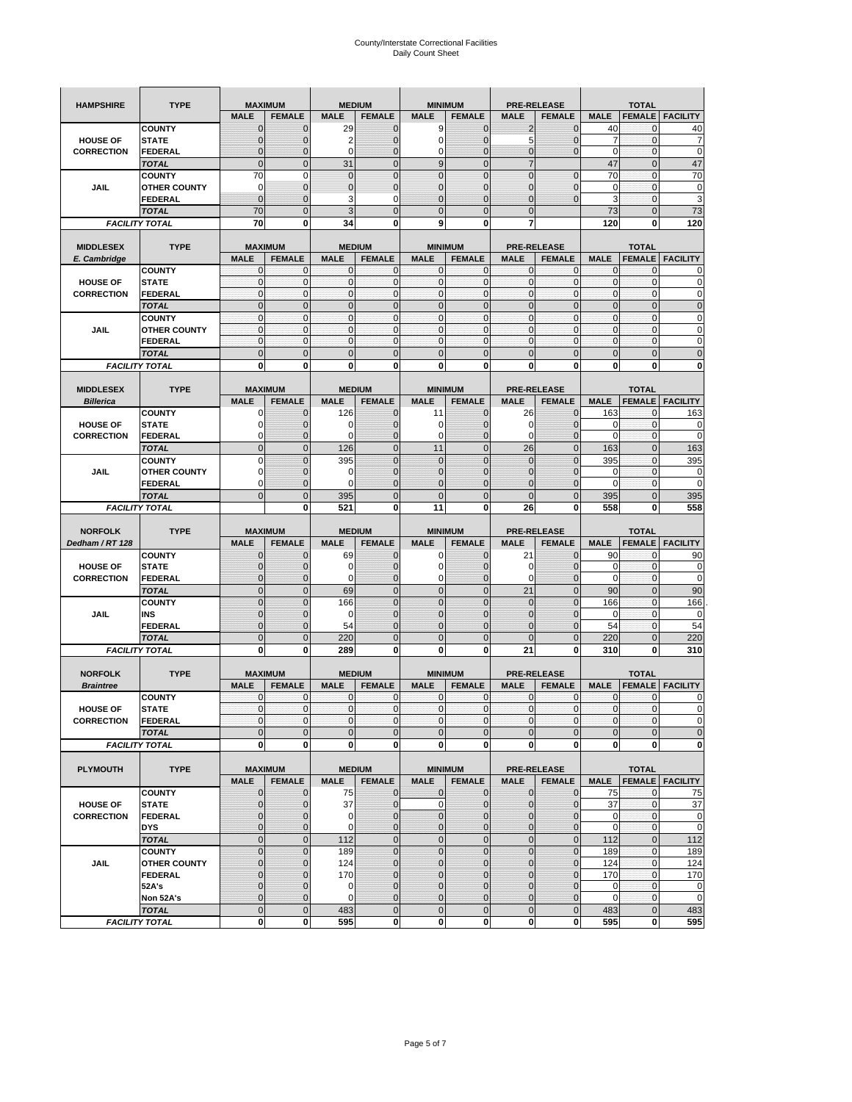| <b>HAMPSHIRE</b>  | <b>TYPE</b>           | <b>MAXIMUM</b>                 |                     | <b>MEDIUM</b>  |                                | <b>MINIMUM</b>      |                               | <b>PRE-RELEASE</b> |                                  | <b>TOTAL</b>   |                   |                        |  |
|-------------------|-----------------------|--------------------------------|---------------------|----------------|--------------------------------|---------------------|-------------------------------|--------------------|----------------------------------|----------------|-------------------|------------------------|--|
|                   |                       | <b>MALE</b>                    | <b>FEMALE</b>       | <b>MALE</b>    | <b>FEMALE</b>                  | <b>MALE</b>         | <b>FEMALE</b>                 | <b>MALE</b>        | <b>FEMALE</b>                    | <b>MALE</b>    | <b>FEMALE</b>     | <b>FACILITY</b>        |  |
|                   | <b>COUNTY</b>         | $\mathbf 0$                    | $\overline{0}$      | 29             | $\mathbf 0$                    | 9                   | $\mathbf{0}$                  | $\overline{2}$     | $\overline{0}$                   | 40             | 0                 | 40                     |  |
| <b>HOUSE OF</b>   | <b>STATE</b>          | $\Omega$                       | 0                   | 2              | $\mathbf{0}$                   | 0                   | $\mathbf 0$                   | 5                  | 0                                | 7              | $\mathbf 0$       | 7                      |  |
| <b>CORRECTION</b> | <b>FEDERAL</b>        | $\mathbf{0}$                   | 0                   | $\mathbf 0$    | $\mathbf{0}$                   | 0                   | $\mathbf{0}$                  | $\mathbf{0}$       | $\overline{0}$                   | $\mathbf 0$    | $\mathbf 0$       | $\mathbf 0$            |  |
|                   | <b>TOTAL</b>          | $\mathbf{0}$                   | $\mathbf 0$         | 31             | $\overline{0}$                 | 9                   | $\overline{0}$                | $\overline{7}$     |                                  | 47             | $\mathbf 0$       | 47                     |  |
|                   | <b>COUNTY</b>         | 70                             | $\mathbf 0$         | $\mathbf 0$    | $\mathbf{0}$                   | $\overline{0}$      | $\overline{0}$                | $\mathbf{0}$       | $\mathbf 0$                      | 70             | $\mathbf 0$       | 70                     |  |
| JAIL              | <b>OTHER COUNTY</b>   | 0                              | $\overline{0}$      | $\overline{0}$ | $\mathbf{0}$                   | $\overline{0}$      | $\mathbf{0}$                  | 0                  | $\overline{0}$                   | $\mathbf 0$    | $\mathbf{0}$      | $\pmb{0}$              |  |
|                   | <b>FEDERAL</b>        | $\mathbf{0}$                   | $\overline{0}$      | 3              | 0                              | $\overline{0}$      | $\overline{0}$                | $\mathbf{0}$       | $\overline{0}$                   | 3              | $\mathbf 0$       | $\overline{3}$         |  |
|                   | <b>TOTAL</b>          | 70                             | $\overline{0}$      | 3              | $\mathbf{0}$                   | $\bf 0$             | $\overline{0}$                | $\mathbf{0}$       |                                  | 73             | $\mathbf 0$       | 73                     |  |
|                   | <b>FACILITY TOTAL</b> | 70                             | 0                   | 34             | 0                              | 9                   | 0                             | 7                  |                                  | 120            | 0                 | 120                    |  |
|                   |                       |                                |                     |                |                                |                     |                               |                    |                                  |                |                   |                        |  |
| <b>MIDDLESEX</b>  | <b>TYPE</b>           | <b>MAXIMUM</b>                 |                     |                | <b>MEDIUM</b>                  | <b>MINIMUM</b>      |                               |                    | <b>PRE-RELEASE</b>               |                | <b>TOTAL</b>      |                        |  |
| E. Cambridge      |                       | <b>MALE</b>                    | <b>FEMALE</b>       | <b>MALE</b>    | <b>FEMALE</b>                  | <b>MALE</b>         | <b>FEMALE</b>                 | <b>MALE</b>        | <b>FEMALE</b>                    | <b>MALE</b>    | <b>FEMALE</b>     | <b>FACILITY</b>        |  |
|                   | <b>COUNTY</b>         | 0                              | $\mathbf 0$         | 0              | 0                              | 0                   | $\mathbf{0}$                  | $\mathbf 0$        | 0                                | 0              | $\mathbf{0}$      | 0                      |  |
| <b>HOUSE OF</b>   | <b>STATE</b>          | $\pmb{0}$                      | $\mathbf{0}$        | $\mathbf 0$    | $\mathbf 0$                    | 0                   | $\mathbf{0}$                  | $\mathbf 0$        | 0                                | $\mathbf 0$    | $\mathbf 0$       | $\mathbf 0$            |  |
| <b>CORRECTION</b> | <b>FEDERAL</b>        | $\mathbf{0}$                   | $\mathbf{0}$        | $\mathbf 0$    | $\mathbf{0}$                   | $\mathbf{0}$        | $\mathbf{0}$                  | $\mathbf{0}$       | $\mathbf 0$                      | $\mathbf 0$    | $\mathbf 0$       | $\pmb{0}$              |  |
|                   | <b>TOTAL</b>          | $\mathbf{0}$                   | $\overline{0}$      | $\overline{0}$ | $\mathbf{0}$                   | $\overline{0}$      | $\mathbf{0}$                  | $\mathbf{0}$       | $\overline{0}$                   | $\overline{0}$ | $\overline{0}$    | $\pmb{0}$              |  |
|                   | <b>COUNTY</b>         | $\mathbf{0}$                   | $\mathbf{0}$        | $\mathbf 0$    | $\mathbf{0}$                   | $\mathbf{0}$        | $\mathbf{0}$                  | $\mathbf{O}$       | $\overline{0}$                   | $\mathbf 0$    | $\mathbf{0}$      | $\pmb{0}$              |  |
| JAIL              | <b>OTHER COUNTY</b>   | $\Omega$                       | $\mathbf 0$         | $\mathbf{0}$   | $\Omega$                       | $\mathbf{0}$        | $\mathbf{0}$                  | $\mathbf{0}$       | $\overline{0}$                   | $\mathbf 0$    | $\mathbf{0}$      | $\mathbf 0$            |  |
|                   | <b>FEDERAL</b>        | $\mathbf{0}$                   | $\mathbf 0$         | $\mathbf 0$    | $\mathbf{O}$                   | 0                   | $\mathbf{0}$                  | $\mathbf{O}$       | 0                                | $\mathbf 0$    | $\mathbf 0$       | $\mathbf 0$            |  |
|                   | <b>TOTAL</b>          | $\mathbf{0}$                   | $\overline{0}$      | $\overline{0}$ | $\mathbf{0}$                   | $\mathbf 0$         | $\mathbf 0$                   | $\mathbf{0}$       | $\overline{0}$                   | $\mathbf 0$    | $\overline{0}$    | $\mathbf 0$            |  |
|                   | <b>FACILITY TOTAL</b> | 0                              | $\bf{0}$            | 0              | 0                              | 0                   | 0                             | 0                  | 0                                | 0              | 0                 | $\bf{0}$               |  |
|                   |                       |                                |                     |                |                                |                     |                               |                    |                                  |                |                   |                        |  |
| <b>MIDDLESEX</b>  | <b>TYPE</b>           | <b>MAXIMUM</b>                 |                     |                | <b>MEDIUM</b>                  | <b>MINIMUM</b>      |                               | <b>PRE-RELEASE</b> |                                  |                | <b>TOTAL</b>      |                        |  |
| <b>Billerica</b>  |                       | <b>MALE</b>                    | <b>FEMALE</b>       | <b>MALE</b>    | <b>FEMALE</b>                  | <b>MALE</b>         | <b>FEMALE</b>                 | <b>MALE</b>        | <b>FEMALE</b>                    | <b>MALE</b>    | <b>FEMALE</b>     | <b>FACILITY</b>        |  |
|                   | <b>COUNTY</b>         | 0                              | $\overline{0}$      | 126            | $\mathbf 0$                    | 11                  | $\mathbf 0$                   | 26                 | $\overline{0}$                   | 163            | $\mathbf{0}$      | 163                    |  |
| <b>HOUSE OF</b>   | <b>STATE</b>          |                                | $\overline{0}$      | 0              | $\mathbf 0$                    | 0                   | $\overline{0}$                | 0                  | $\overline{0}$                   | 0              | $\mathbf{0}$      | 0                      |  |
| <b>CORRECTION</b> | FEDERAL               | $\Omega$                       | 0                   | 0              | $\mathbf{0}$                   | 0                   | $\mathbf{0}$                  | $\mathbf 0$        | 0                                | $\overline{0}$ | $\mathbf 0$       | $\mathbf 0$            |  |
|                   | <b>TOTAL</b>          | $\mathbf{0}$                   | $\overline{0}$      | 126            | $\mathbf{0}$                   | 11                  | $\mathbf{0}$                  | 26                 | $\overline{0}$                   | 163            | $\overline{0}$    | 163                    |  |
|                   | <b>COUNTY</b>         | $\Omega$                       | $\overline{0}$      | 395            | $\mathbf 0$                    | $\overline{0}$      | $\Omega$                      | $\mathbf{0}$       | $\overline{0}$                   | 395            | $\mathbf{0}$      | 395                    |  |
| JAIL              | <b>OTHER COUNTY</b>   | $\Omega$                       | 0                   | 0              | $\overline{0}$                 | 0                   | $\mathbf{0}$                  | $\overline{0}$     | 0                                | 0              | $\mathbf{0}$      | 0                      |  |
|                   | <b>FEDERAL</b>        | 0                              | $\overline{0}$      | $\mathbf 0$    | $\mathbf{0}$                   | $\overline{0}$      | $\overline{0}$                | 0                  | $\overline{0}$                   | $\mathbf 0$    | $\mathbf{0}$      | $\mathbf 0$            |  |
|                   | <b>TOTAL</b>          | $\Omega$                       | $\mathbf 0$         | 395            | $\mathbf{0}$                   | $\mathbf 0$         | $\mathbf 0$                   | $\mathbf{0}$       | $\overline{0}$                   | 395            | $\mathbf 0$       | 395                    |  |
|                   | <b>FACILITY TOTAL</b> |                                | $\mathbf 0$         | 521            | $\bf{0}$                       | 11                  | 0                             | 26                 | 0                                | 558            | $\bf{0}$          | 558                    |  |
|                   |                       |                                |                     |                |                                |                     |                               |                    |                                  |                |                   |                        |  |
|                   |                       |                                |                     |                |                                |                     |                               |                    |                                  |                |                   |                        |  |
|                   |                       |                                |                     |                |                                |                     |                               |                    |                                  |                |                   |                        |  |
| <b>NORFOLK</b>    | <b>TYPE</b>           | <b>MAXIMUM</b>                 |                     |                | <b>MEDIUM</b>                  | <b>MINIMUM</b>      |                               |                    | <b>PRE-RELEASE</b>               |                | <b>TOTAL</b>      |                        |  |
| Dedham / RT 128   |                       | <b>MALE</b><br>$\Omega$        | <b>FEMALE</b>       | <b>MALE</b>    | <b>FEMALE</b>                  | <b>MALE</b>         | <b>FEMALE</b>                 | <b>MALE</b>        | <b>FEMALE</b>                    | <b>MALE</b>    | <b>FEMALE</b>     | <b>FACILITY</b>        |  |
|                   | <b>COUNTY</b>         | $\Omega$                       | 0                   | 69<br>0        | 0<br>$\mathbf{0}$              | 0<br>0              | $\mathbf 0$<br>$\overline{0}$ | 21<br>0            | $\overline{0}$<br>$\overline{0}$ | 90             | 0                 | 90                     |  |
| <b>HOUSE OF</b>   | <b>STATE</b>          | $\Omega$                       | $\overline{0}$      |                |                                |                     |                               |                    |                                  | 0              | 0                 | $\mathbf 0$            |  |
| <b>CORRECTION</b> | <b>FEDERAL</b>        | $\Omega$                       | 0                   | 0              | $\mathbf{0}$                   | 0                   | $\mathbf 0$                   | 0                  | 0                                | $\mathbf 0$    | $\mathbf 0$       | $\mathbf 0$            |  |
|                   | <b>TOTAL</b>          |                                | $\overline{0}$      | 69             | $\mathbf{0}$                   | $\mathbf 0$         | $\mathbf 0$                   | 21                 | $\overline{0}$                   | 90             | $\mathbf 0$       | 90                     |  |
|                   | <b>COUNTY</b>         | $\overline{0}$<br>$\mathbf{0}$ | $\overline{0}$      | 166            | $\mathbf{0}$<br>$\overline{0}$ | $\overline{0}$      | $\overline{0}$                | $\overline{0}$     | $\overline{0}$                   | 166<br>0       | $\mathbf 0$       | 166                    |  |
| JAIL              | INS<br><b>FEDERAL</b> | $\Omega$                       | 0<br>$\overline{0}$ | 0<br>54        | $\mathbf 0$                    | 0<br>$\overline{0}$ | $\mathbf 0$<br>$\overline{0}$ | 0<br>0             | 0<br>$\overline{0}$              | 54             | 0<br>$\mathbf{0}$ | 0<br>54                |  |
|                   | <b>TOTAL</b>          | $\mathbf 0$                    | $\overline{0}$      | 220            | $\mathbf 0$                    | $\overline{0}$      | $\overline{0}$                | $\Omega$           | $\overline{0}$                   | 220            | $\overline{0}$    | 220                    |  |
|                   | <b>FACILITY TOTAL</b> | $\mathbf 0$                    | $\mathbf 0$         | 289            | 0                              | 0                   | 0                             | 21                 | 0                                | 310            | $\bf{0}$          | 310                    |  |
|                   |                       |                                |                     |                |                                |                     |                               |                    |                                  |                |                   |                        |  |
| <b>NORFOLK</b>    | <b>TYPE</b>           | <b>MAXIMUM</b>                 |                     |                | <b>MEDIUM</b>                  |                     | <b>MINIMUM</b>                |                    | <b>PRE-RELEASE</b>               |                | <b>TOTAL</b>      |                        |  |
| <b>Braintree</b>  |                       | <b>MALE</b>                    | <b>FEMALE</b>       | <b>MALE</b>    | <b>FEMALE</b>                  | <b>MALE</b>         | <b>FEMALE</b>                 | <b>MALE</b>        | <b>FEMALE</b>                    | <b>MALE</b>    | <b>FEMALE</b>     | <b>FACILITY</b>        |  |
|                   | <b>COUNTY</b>         | $\mathbf 0$                    | $\mathbf 0$         | 0              | $\mathbf 0$                    | 0                   | $\mathbf{0}$                  | $\mathbf 0$        | $\mathbf 0$                      | 0              | 0                 | 0                      |  |
| <b>HOUSE OF</b>   | <b>STATE</b>          | $\mathbf{0}$                   | $\overline{0}$      | $\mathbf 0$    | $\overline{0}$                 | $\overline{0}$      | $\mathbf{0}$                  | $\overline{0}$     | $\mathbf{0}$                     | $\mathbf{0}$   | 0                 | $\Omega$               |  |
| <b>CORRECTION</b> | FEDERAL               | $\mathbf 0$                    | 0                   | 0              | $\mathbf 0$                    | $\mathbf 0$         | 0                             | $\mathbf 0$        | $\mathbf 0$                      | $\pmb{0}$      | 0                 | $\mathbf 0$            |  |
|                   | <b>TOTAL</b>          | $\mathbf{0}$                   | $\mathbf 0$         | $\mathbf 0$    | $\mathbf{0}$                   | $\bf 0$             | $\pmb{0}$                     | $\mathbf{0}$       | $\mathbf 0$                      | $\mathbf 0$    | $\mathbf 0$       | $\mathbf 0$            |  |
|                   | <b>FACILITY TOTAL</b> | $\mathbf{0}$                   | $\mathbf{0}$        | 0              | $\mathbf{0}$                   | $\mathbf{0}$        | $\bf{0}$                      | $\mathbf 0$        | $\mathbf{0}$                     | $\mathbf 0$    | 0                 | $\mathbf 0$            |  |
|                   |                       |                                |                     |                |                                |                     |                               |                    |                                  |                |                   |                        |  |
| <b>PLYMOUTH</b>   | <b>TYPE</b>           |                                | <b>MAXIMUM</b>      |                | <b>MEDIUM</b>                  |                     | <b>MINIMUM</b>                |                    | <b>PRE-RELEASE</b>               |                | <b>TOTAL</b>      |                        |  |
|                   |                       | <b>MALE</b>                    | <b>FEMALE</b>       | <b>MALE</b>    | <b>FEMALE</b>                  | <b>MALE</b>         | <b>FEMALE</b>                 | <b>MALE</b>        | <b>FEMALE</b>                    | <b>MALE</b>    |                   | <b>FEMALE FACILITY</b> |  |
|                   | <b>COUNTY</b>         | $\mathbf{0}$                   | $\mathbf{0}$        | 75             | $\mathbf{0}$                   | 0                   | $\mathbf{0}$                  | $\mathbf{0}$       | $\overline{0}$                   | 75             | 0                 | 75                     |  |
| <b>HOUSE OF</b>   | <b>STATE</b>          | $\mathbf{0}$                   | 0                   | 37             | $\mathbf{0}$                   | 0                   | $\pmb{0}$                     | $\mathbf 0$        | $\overline{0}$                   | 37             | $\mathbf{0}$      | 37                     |  |
| <b>CORRECTION</b> | <b>FEDERAL</b>        | $\Omega$                       | 0                   | 0              | $\mathbf{0}$                   | 0                   | $\mathbf{0}$                  | $\mathbf{0}$       | 0                                | $\mathbf 0$    | $\mathbf{0}$      | $\mathbf 0$            |  |
|                   | <b>DYS</b>            | $\mathbf{0}$                   | 0                   | $\mathbf 0$    | $\mathbf 0$                    | 0                   | $\pmb{0}$                     | $\mathbf 0$        | $\overline{0}$                   | $\mathbf 0$    | $\mathbf 0$       | $\mathbf 0$            |  |
|                   | <b>TOTAL</b>          | $\mathbf 0$                    | $\mathbf 0$         | 112            | $\mathbf 0$                    | $\mathbf 0$         | $\mathbf 0$                   | $\mathbf 0$        | $\mathbf 0$                      | 112            | $\mathbf 0$       | 112                    |  |
|                   | <b>COUNTY</b>         | $\overline{0}$                 | $\overline{0}$      | 189            | $\pmb{0}$                      | $\mathbf 0$         | $\mathbf 0$                   | $\pmb{0}$          | $\mathbf 0$                      | 189            | $\mathbf{0}$      | 189                    |  |
| JAIL              | <b>OTHER COUNTY</b>   | $\mathbf{0}$                   | 0                   | 124            | $\overline{0}$                 | 0                   | $\mathbf{0}$                  | 0                  | $\overline{0}$                   | 124            | $\mathbf{0}$      | 124                    |  |
|                   | <b>FEDERAL</b>        | $\Omega$                       | 0                   | 170            | $\mathbf 0$                    | 0                   | $\mathbf{0}$                  | 0                  | 0                                | 170            | $\mathbf 0$       | 170                    |  |
|                   | 52A's                 | $\Omega$                       | $\overline{0}$      | 0              | $\overline{0}$                 | $\overline{0}$      | $\mathbf 0$                   | $\overline{0}$     | $\overline{0}$                   | 0              | $\mathbf{0}$      | $\mathbf 0$            |  |
|                   | Non 52A's             | $\mathbf{0}$                   | $\mathbf 0$         | 0              | $\mathbf{0}$                   | 0                   | $\mathbf 0$                   | $\mathbf 0$        | 0                                | 0              | $\mathbf 0$       |                        |  |
|                   | <b>TOTAL</b>          | $\overline{0}$                 | $\overline{0}$      | 483            | $\overline{0}$                 | $\overline{0}$      | $\mathbf{0}$                  | $\mathbf{0}$       | $\mathbf 0$                      | 483            | $\mathbf 0$       | $\mathbf 0$<br>483     |  |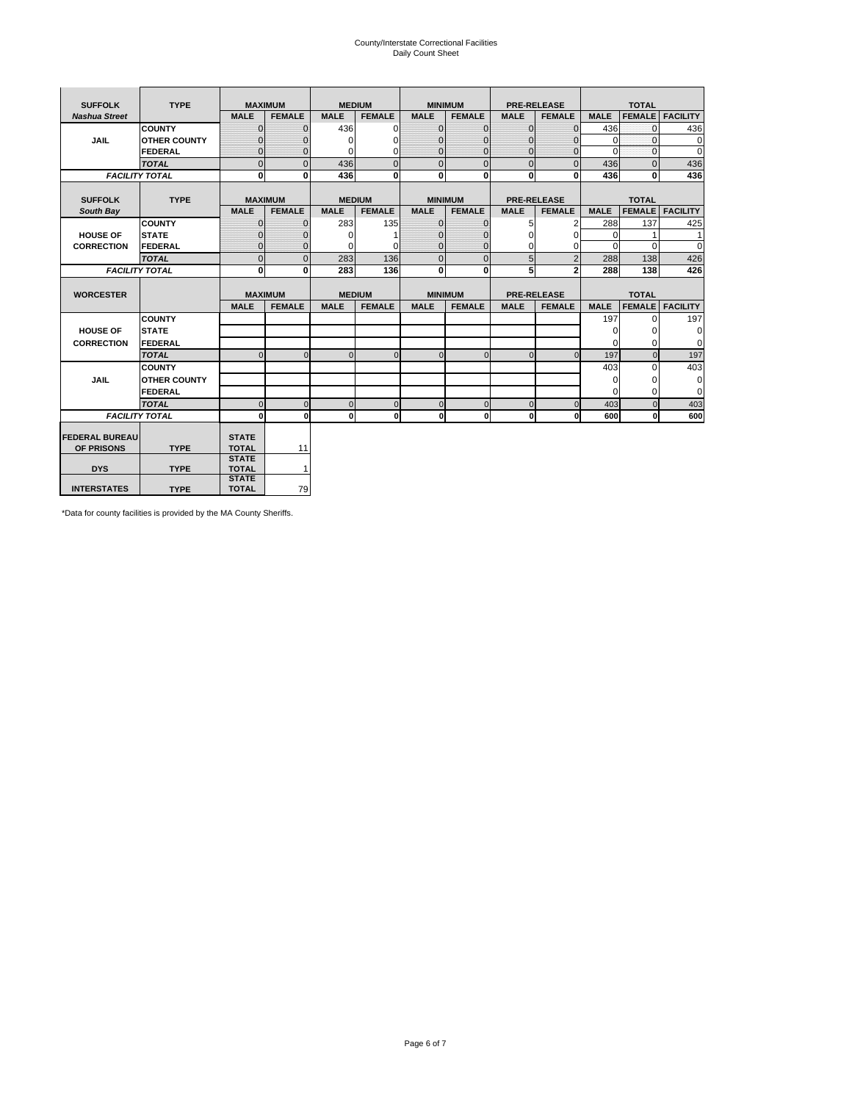# County/Interstate Correctional Facilities Daily Count Sheet

| <b>TYPE</b><br><b>SUFFOLK</b> |                       |                              | <b>MAXIMUM</b> |               | <b>MEDIUM</b>  |                | <b>MINIMUM</b> |                | <b>PRE-RELEASE</b> |             | <b>TOTAL</b>  |                 |  |
|-------------------------------|-----------------------|------------------------------|----------------|---------------|----------------|----------------|----------------|----------------|--------------------|-------------|---------------|-----------------|--|
| <b>Nashua Street</b>          |                       | <b>MALE</b>                  | <b>FEMALE</b>  | <b>MALE</b>   | <b>FEMALE</b>  | <b>MALE</b>    | <b>FEMALE</b>  | <b>MALE</b>    | <b>FEMALE</b>      | <b>MALE</b> | <b>FEMALE</b> | <b>FACILITY</b> |  |
|                               | <b>COUNTY</b>         | $\Omega$                     | $\mathbf{0}$   | 436           | $\Omega$       | $\mathbf{0}$   | $\Omega$       | $\Omega$       | $\Omega$           | 436         | $\Omega$      | 436             |  |
| <b>JAIL</b>                   | <b>OTHER COUNTY</b>   | $\Omega$                     | 0              | $\Omega$      | 0              | $\mathbf{0}$   | $\Omega$       | $\mathbf 0$    | $\Omega$           | $\Omega$    | $\Omega$      | $\mathbf 0$     |  |
|                               | <b>FEDERAL</b>        | $\Omega$                     | $\Omega$       | 0             | $\Omega$       | $\mathbf{0}$   | $\Omega$       | $\Omega$       | $\Omega$           | $\Omega$    | $\Omega$      | $\Omega$        |  |
|                               | <b>TOTAL</b>          | $\Omega$                     | $\mathbf 0$    | 436           | $\overline{0}$ | $\mathbf{0}$   | $\mathbf{0}$   | $\mathbf{0}$   | $\Omega$           | 436         | $\Omega$      | 436             |  |
|                               | <b>FACILITY TOTAL</b> | 0                            | 0              | 436           | $\bf{0}$       | <sub>0</sub>   | 0              | $\mathbf{0}$   | 0                  | 436         | 0             | 436             |  |
|                               |                       |                              |                |               |                |                |                |                |                    |             |               |                 |  |
| <b>SUFFOLK</b>                | <b>TYPE</b>           | <b>MAXIMUM</b>               |                | <b>MEDIUM</b> |                |                | <b>MINIMUM</b> |                | <b>PRE-RELEASE</b> |             | <b>TOTAL</b>  |                 |  |
| South Bay                     |                       | <b>MALE</b>                  | <b>FEMALE</b>  | <b>MALE</b>   | <b>FEMALE</b>  | <b>MALE</b>    | <b>FEMALE</b>  | <b>MALE</b>    | <b>FEMALE</b>      | <b>MALE</b> | <b>FEMALE</b> | <b>FACILITY</b> |  |
|                               | <b>COUNTY</b>         | $\Omega$                     | $\mathbf{0}$   | 283           | 135            | $\mathbf{0}$   | $\mathbf{0}$   | 5              | 2                  | 288         | 137           | 425             |  |
| <b>HOUSE OF</b>               | <b>STATE</b>          |                              | $\mathbf{0}$   | $\Omega$      |                | $\Omega$       | O              | $\Omega$       | $\Omega$           | $\Omega$    |               | 1               |  |
| <b>CORRECTION</b>             | <b>FEDERAL</b>        | $\Omega$                     | $\mathbf{0}$   | $\Omega$      | $\Omega$       | $\mathbf{0}$   | $\mathbf{0}$   | $\Omega$       | 0                  | $\Omega$    | $\Omega$      | $\Omega$        |  |
|                               | <b>TOTAL</b>          | $\Omega$                     | $\overline{0}$ | 283           | 136            | $\overline{0}$ | $\mathbf{0}$   | 5              | $\overline{2}$     | 288         | 138           | 426             |  |
|                               | <b>FACILITY TOTAL</b> | 0                            | 0              | 283           | 136            | <sub>0</sub>   | $\bf{0}$       | 5              | $\overline{2}$     | 288         | 138           | 426             |  |
|                               |                       |                              |                |               |                |                |                |                |                    |             |               |                 |  |
| <b>WORCESTER</b>              |                       |                              | <b>MAXIMUM</b> |               | <b>MEDIUM</b>  |                | <b>MINIMUM</b> |                | <b>PRE-RELEASE</b> |             | <b>TOTAL</b>  |                 |  |
|                               |                       | <b>MALE</b>                  | <b>FEMALE</b>  | <b>MALE</b>   | <b>FEMALE</b>  | <b>MALE</b>    | <b>FEMALE</b>  | <b>MALE</b>    | <b>FEMALE</b>      | <b>MALE</b> | <b>FEMALE</b> | <b>FACILITY</b> |  |
|                               | <b>COUNTY</b>         |                              |                |               |                |                |                |                |                    | 197         | $\Omega$      | 197             |  |
| <b>HOUSE OF</b>               | <b>STATE</b>          |                              |                |               |                |                |                |                |                    | $\Omega$    | 0             | 0               |  |
| <b>CORRECTION</b>             | <b>FEDERAL</b>        |                              |                |               |                |                |                |                |                    | $\Omega$    | $\Omega$      | $\Omega$        |  |
|                               | <b>TOTAL</b>          | U                            | $\Omega$       | $\Omega$      | $\mathbf 0$    | $\Omega$       | $\Omega$       | $\Omega$       | $\Omega$           | 197         | $\Omega$      | 197             |  |
|                               | <b>COUNTY</b>         |                              |                |               |                |                |                |                |                    | 403         | $\Omega$      | 403             |  |
| <b>JAIL</b>                   | <b>OTHER COUNTY</b>   |                              |                |               |                |                |                |                |                    | 0           | 0             | 0               |  |
|                               | FEDERAL               |                              |                |               |                |                |                |                |                    | $\Omega$    | $\Omega$      | $\Omega$        |  |
|                               | <b>TOTAL</b>          | $\cap$                       | $\Omega$       | $\Omega$      | $\mathbf{0}$   | $\mathbf{0}$   | $\mathbf{0}$   | $\overline{0}$ | $\Omega$           | 403         | $\Omega$      | 403             |  |
|                               | <b>FACILITY TOTAL</b> | $\Omega$                     | $\mathbf 0$    | $\Omega$      | 0              | 0              | $\mathbf{0}$   | $\mathbf 0$    | 0                  | 600         | O             | 600             |  |
|                               |                       |                              |                |               |                |                |                |                |                    |             |               |                 |  |
| <b>FEDERAL BUREAU</b>         |                       | <b>STATE</b>                 |                |               |                |                |                |                |                    |             |               |                 |  |
| OF PRISONS                    | <b>TYPE</b>           | <b>TOTAL</b><br><b>STATE</b> | 11             |               |                |                |                |                |                    |             |               |                 |  |
| <b>DYS</b>                    | <b>TYPE</b>           | <b>TOTAL</b>                 | $\mathbf{1}$   |               |                |                |                |                |                    |             |               |                 |  |
|                               |                       | <b>STATE</b>                 |                |               |                |                |                |                |                    |             |               |                 |  |
| <b>INTERSTATES</b>            | <b>TYPE</b>           | <b>TOTAL</b>                 | 79             |               |                |                |                |                |                    |             |               |                 |  |

\*Data for county facilities is provided by the MA County Sheriffs.